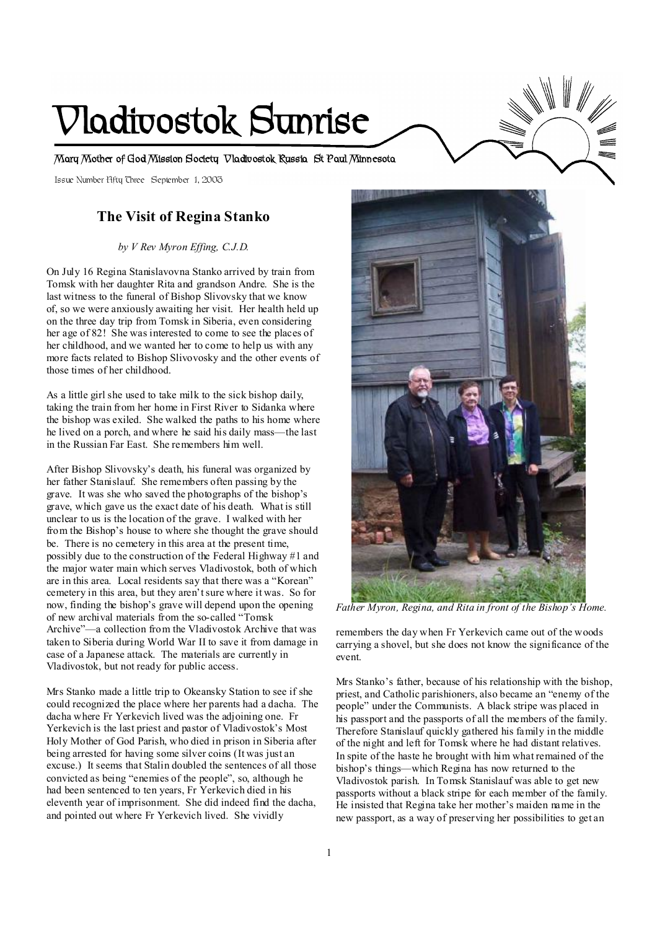# **Vladivostok Sunrise**

**Mary Mother of God Mission Society Vladivostok Russia St Paul Minnesota** 

Issue Number Fifty Three September 1, 2003

# **The Visit of Regina Stanko**

*by V Rev Myron Effing, C.J.D.* 

On July 16 Regina Stanislavovna Stanko arrived by train from Tomsk with her daughter Rita and grandson Andre. She is the last witness to the funeral of Bishop Slivovsky that we know of, so we were anxiously awaiting her visit. Her health held up on the three day trip from Tomsk in Siberia, even considering her age of 82! She was interested to come to see the places of her childhood, and we wanted her to come to help us with any more facts related to Bishop Slivovosky and the other events of those times of her childhood.

As a little girl she used to take milk to the sick bishop daily, taking the train from her home in First River to Sidanka where the bishop was exiled. She walked the paths to his home where he lived on a porch, and where he said his daily mass—the last in the Russian Far East. She remembers him well.

After Bishop Slivovsky's death, his funeral was organized by her father Stanislauf. She remembers often passing by the grave. It was she who saved the photographs of the bishop's grave, which gave us the exact date of his death. What is still unclear to us is the location of the grave. I walked with her from the Bishop's house to where she thought the grave should be. There is no cemetery in this area at the present time, possibly due to the construction of the Federal Highway #1 and the major water main which serves Vladivostok, both of which are in this area. Local residents say that there was a "Korean" cemetery in this area, but they aren'tsure where it was. So for now, finding the bishop's grave will depend upon the opening of new archival materials from the so-called "Tomsk Archive"—a collection from the Vladivostok Archive that was taken to Siberia during World War II to save it from damage in case of a Japanese attack. The materials are currently in Vladivostok, but not ready for public access.

Mrs Stanko made a little trip to Okeansky Station to see if she could recognized the place where her parents had a dacha. The dacha where Fr Yerkevich lived was the adjoining one. Fr Yerkevich is the last priest and pastor of Vladivostok's Most Holy Mother of God Parish, who died in prison in Siberia after being arrested for having some silver coins (It was just an excuse.) It seems that Stalin doubled the sentences of all those convicted as being "enemies of the people", so, although he had been sentenced to ten years, Fr Yerkevich died in his eleventh year of imprisonment. She did indeed find the dacha, and pointed out where Fr Yerkevich lived. She vividly



 $\overline{a}$ *Father Myron, Regina, and Rita in front of the Bishop's Home.* 

remembers the day when Fr Yerkevich came out of the woods carrying a shovel, but she does not know the significance of the event.

Mrs Stanko's father, because of his relationship with the bishop, priest, and Catholic parishioners, also became an "enemy of the people" under the Communists. A black stripe was placed in his passport and the passports of all the members of the family. Therefore Stanislauf quickly gathered his family in the middle of the night and left for Tomsk where he had distant relatives. In spite of the haste he brought with him what remained of the bishop's things—which Regina has now returned to the Vladivostok parish. In Tomsk Stanislauf was able to get new passports without a black stripe for each member of the family. He insisted that Regina take her mother's maiden name in the new passport, as a way of preserving her possibilities to get an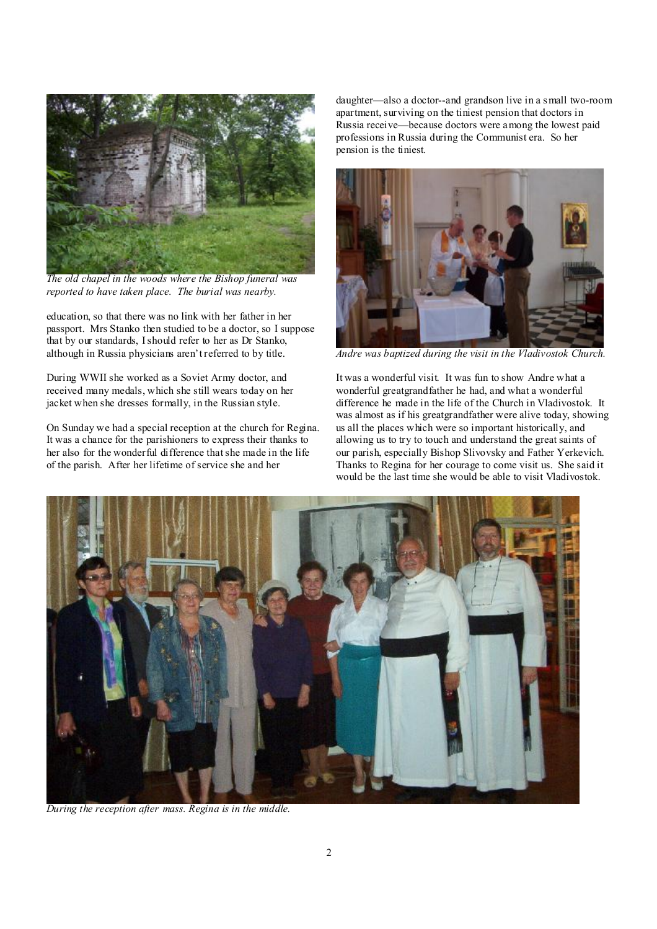

*The old chapel in the woods where the Bishop funeral was reported to have taken place. The burial was nearby.* 

education, so that there was no link with her father in her passport. Mrs Stanko then studied to be a doctor, so I suppose that by our standards, Ishould refer to her as Dr Stanko, although in Russia physicians aren't referred to by title.

During WWII she worked as a Soviet Army doctor, and received many medals, which she still wears today on her jacket when she dresses formally, in the Russian style.

On Sunday we had a special reception at the church for Regina. It was a chance for the parishioners to express their thanks to her also for the wonderful difference thatshe made in the life of the parish. After her lifetime of service she and her

daughter—also a doctor--and grandson live in a small two-room apartment, surviving on the tiniest pension that doctors in Russia receive—because doctors were among the lowest paid professions in Russia during the Communist era. So her pension is the tiniest.



*Andre was baptized during the visit in the Vladivostok Church.* 

It was a wonderful visit. It was fun to show Andre what a wonderful greatgrandfather he had, and what a wonderful difference he made in the life of the Church in Vladivostok. It was almost as if his greatgrandfather were alive today, showing us all the places which were so important historically, and allowing us to try to touch and understand the great saints of our parish, especially Bishop Slivovsky and Father Yerkevich. Thanks to Regina for her courage to come visit us. She said it would be the last time she would be able to visit Vladivostok.



*During the reception after mass. Regina is in the middle.*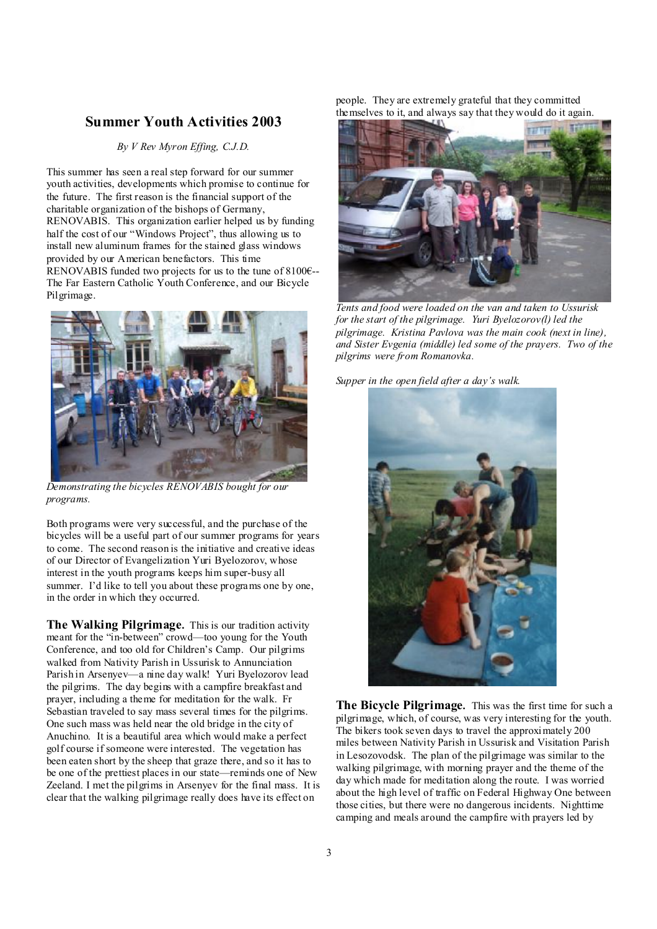### **Summer Youth Activities 2003**

*By V Rev Myron Effing, C.J.D.* 

This summer has seen a real step forward for our summer youth activities, developments which promise to continue for the future. The first reason is the financial support of the charitable organization of the bishops of Germany, RENOVABIS. This organization earlier helped us by funding half the cost of our "Windows Project", thus allowing us to install new aluminum frames for the stained glass windows provided by our American benefactors. This time RENOVABIS funded two projects for us to the tune of 8100€-- The Far Eastern Catholic Youth Conference, and our Bicycle Pilgrimage.



*Demonstrating the bicycles RENOVABIS bought for our programs.* 

Both programs were very successful, and the purchase of the bicycles will be a useful part of our summer programs for years to come. The second reason is the initiative and creative ideas of our Director of Evangelization Yuri Byelozorov, whose interest in the youth programs keeps him super-busy all summer. I'd like to tell you about these programs one by one, in the order in which they occurred.

**The Walking Pilgrimage.** This is our tradition activity meant for the "in-between" crowd—too young for the Youth Conference, and too old for Children's Camp. Our pilgrims walked from Nativity Parish in Ussurisk to Annunciation Parish in Arsenyev—a nine day walk! Yuri Byelozorov lead the pilgrims. The day begins with a campfire breakfast and prayer, including a theme for meditation for the walk. Fr Sebastian traveled to say mass several times for the pilgrims. One such mass was held near the old bridge in the city of Anuchino. It is a beautiful area which would make a perfect golf course if someone were interested. The vegetation has been eaten short by the sheep that graze there, and so it has to be one of the prettiest places in our state—reminds one of New Zeeland. I met the pilgrims in Arsenyev for the final mass. It is clear that the walking pilgrimage really does have its effect on

people. They are extremely grateful that they committed themselves to it, and always say that they would do it again.



*Tents and food were loaded on the van and taken to Ussurisk for the start of the pilgrimage. Yuri Byelozorov(l) led the pilgrimage. Kristina Pavlova was the main cook (next in line), and Sister Evgenia (middle) led some of the prayers. Two of the pilgrims were from Romanovka.* 

*Supper in the open field after a day's walk.* 



**The Bicycle Pilgrimage.** This was the first time for such a pilgrimage, which, of course, was very interesting for the youth. The bikers took seven days to travel the approximately 200 miles between Nativity Parish in Ussurisk and Visitation Parish in Lesozovodsk. The plan of the pilgrimage was similar to the walking pilgrimage, with morning prayer and the theme of the day which made for meditation along the route. I was worried about the high level of traffic on Federal Highway One between those cities, but there were no dangerous incidents. Nighttime camping and meals around the campfire with prayers led by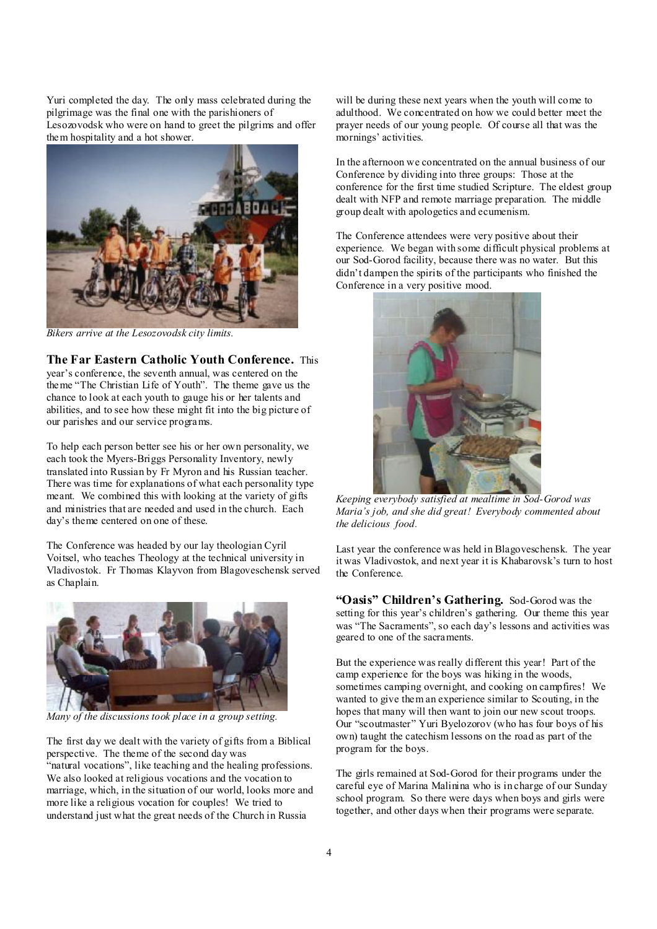Yuri completed the day. The only mass celebrated during the pilgrimage was the final one with the parishioners of Lesozovodsk who were on hand to greet the pilgrims and offer them hospitality and a hot shower.



*Bikers arrive at the Lesozovodsk city limits.* 

**The Far Eastern Catholic Youth Conference.** This year's conference, the seventh annual, was centered on the theme "The Christian Life of Youth". The theme gave us the chance to look at each youth to gauge his or her talents and abilities, and to see how these might fit into the big picture of our parishes and our service programs.

To help each person better see his or her own personality, we each took the Myers-Briggs Personality Inventory, newly translated into Russian by Fr Myron and his Russian teacher. There was time for explanations of what each personality type meant. We combined this with looking at the variety of gifts and ministries that are needed and used in the church. Each day's theme centered on one of these.

The Conference was headed by our lay theologian Cyril Voitsel, who teaches Theology at the technical university in Vladivostok. Fr Thomas Klayvon from Blagoveschensk served as Chaplain.



*Many of the discussions took place in a group setting.* 

The first day we dealt with the variety of gifts from a Biblical perspective. The theme of the second day was "natural vocations", like teaching and the healing professions. We also looked at religious vocations and the vocation to marriage, which, in the situation of our world, looks more and more like a religious vocation for couples! We tried to understand just what the great needs of the Church in Russia

will be during these next years when the youth will come to adulthood. We concentrated on how we could better meet the prayer needs of our young people. Of course all that was the mornings' activities.

In the afternoon we concentrated on the annual business of our Conference by dividing into three groups: Those at the conference for the first time studied Scripture. The eldest group dealt with NFP and remote marriage preparation. The middle group dealt with apologetics and ecumenism.

The Conference attendees were very positive about their experience. We began with some difficult physical problems at our Sod-Gorod facility, because there was no water. But this didn't dampen the spirits of the participants who finished the Conference in a very positive mood.



 *Keeping everybody satisfied at mealtime in Sod-Gorod was Maria's job, and she did great! Everybody commented about the delicious food.* 

Last year the conference was held in Blagoveschensk. The year it was Vladivostok, and next year it is Khabarovsk's turn to host the Conference.

**"Oasis" Children's Gathering.** Sod-Gorod was the setting for this year's children's gathering. Our theme this year was "The Sacraments", so each day's lessons and activities was geared to one of the sacraments.

But the experience was really different this year! Part of the camp experience for the boys was hiking in the woods, sometimes camping overnight, and cooking on campfires! We wanted to give them an experience similar to Scouting, in the hopes that many will then want to join our new scout troops. Our "scoutmaster" Yuri Byelozorov (who has four boys of his own) taught the catechism lessons on the road as part of the program for the boys.

The girls remained at Sod-Gorod for their programs under the careful eye of Marina Malinina who is in charge of our Sunday school program. So there were days when boys and girls were together, and other days when their programs were separate.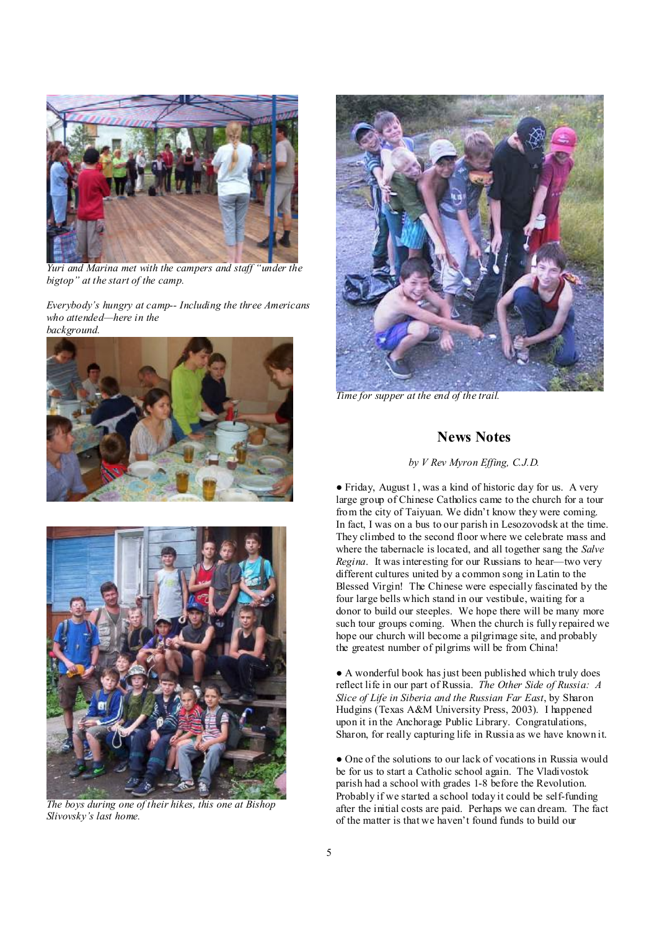

*Yuri and Marina met with the campers and staff "under the bigtop" at the start of the camp.* 

*Everybody's hungry at camp-- Including the three Americans who attended—here in the background.*





*The boys during one of their hikes, this one at Bishop Slivovsky's last home.* 



*Time for supper at the end of the trail.* 

## **News Notes**

*by V Rev Myron Effing, C.J.D.*

● Friday, August 1, was a kind of historic day for us. A very large group of Chinese Catholics came to the church for a tour from the city of Taiyuan. We didn't know they were coming. In fact, I was on a bus to our parish in Lesozovodsk at the time. They climbed to the second floor where we celebrate mass and where the tabernacle is located, and all together sang the *Salve Regina*. It was interesting for our Russians to hear—two very different cultures united by a common song in Latin to the Blessed Virgin! The Chinese were especially fascinated by the four large bells which stand in our vestibule, waiting for a donor to build our steeples. We hope there will be many more such tour groups coming. When the church is fully repaired we hope our church will become a pilgrimage site, and probably the greatest number of pilgrims will be from China!

● A wonderful book has just been published which truly does reflect life in our part of Russia. *The Other Side of Russia: A Slice of Life in Siberia and the Russian Far East*, by Sharon Hudgins (Texas A&M University Press, 2003). I happened upon it in the Anchorage Public Library. Congratulations, Sharon, for really capturing life in Russia as we have known it.

• One of the solutions to our lack of vocations in Russia would be for us to start a Catholic school again. The Vladivostok parish had a school with grades 1-8 before the Revolution. Probably if we started a school today it could be self-funding after the initial costs are paid. Perhaps we can dream. The fact of the matter is that we haven't found funds to build our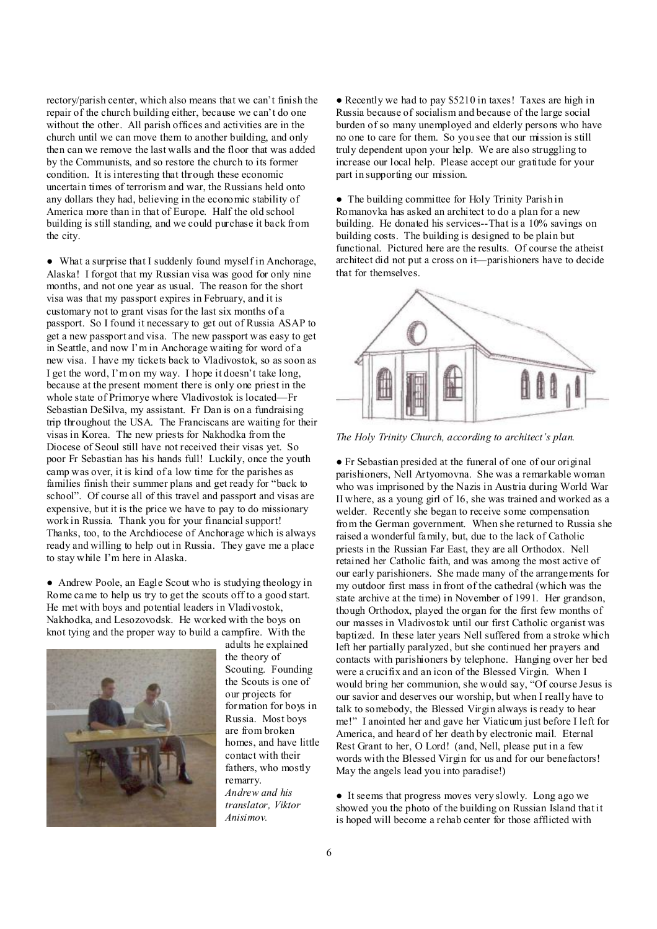rectory/parish center, which also means that we can't finish the repair of the church building either, because we can't do one without the other. All parish offices and activities are in the church until we can move them to another building, and only then can we remove the last walls and the floor that was added by the Communists, and so restore the church to its former condition. It is interesting that through these economic uncertain times of terrorism and war, the Russians held onto any dollars they had, believing in the economic stability of America more than in that of Europe. Half the old school building is still standing, and we could purchase it back from the city.

● What a surprise that I suddenly found myself in Anchorage, Alaska! I forgot that my Russian visa was good for only nine months, and not one year as usual. The reason for the short visa was that my passport expires in February, and it is customary not to grant visas for the last six months of a passport. So I found it necessary to get out of Russia ASAP to get a new passport and visa. The new passport was easy to get in Seattle, and now I'm in Anchorage waiting for word of a new visa. I have my tickets back to Vladivostok, so as soon as I get the word, I'm on my way. I hope it doesn't take long, because at the present moment there is only one priest in the whole state of Primorye where Vladivostok is located—Fr Sebastian DeSilva, my assistant. Fr Dan is on a fundraising trip throughout the USA. The Franciscans are waiting for their visas in Korea. The new priests for Nakhodka from the Diocese of Seoul still have not received their visas yet. So poor Fr Sebastian has his hands full! Luckily, once the youth camp was over, it is kind of a low time for the parishes as families finish their summer plans and get ready for "back to school". Of course all of this travel and passport and visas are expensive, but it is the price we have to pay to do missionary work in Russia. Thank you for your financial support! Thanks, too, to the Archdiocese of Anchorage which is always ready and willing to help out in Russia. They gave me a place to stay while I'm here in Alaska.

● Andrew Poole, an Eagle Scout who is studying theology in Rome came to help us try to get the scouts off to a good start. He met with boys and potential leaders in Vladivostok, Nakhodka, and Lesozovodsk. He worked with the boys on knot tying and the proper way to build a campfire. With the



adults he explained the theory of Scouting. Founding the Scouts is one of our projects for formation for boys in Russia. Most boys are from broken homes, and have little contact with their fathers, who mostly remarry. *Andrew and his translator, Viktor Anisimov.* 

● Recently we had to pay \$5210 in taxes! Taxes are high in Russia because of socialism and because of the large social burden of so many unemployed and elderly persons who have no one to care for them. So you see that our mission is still truly dependent upon your help. We are also struggling to increase our local help. Please accept our gratitude for your part in supporting our mission.

● The building committee for Holy Trinity Parish in Romanovka has asked an architect to do a plan for a new building. He donated his services--That is a 10% savings on building costs. The building is designed to be plain but functional. Pictured here are the results. Of course the atheist architect did not put a cross on it—parishioners have to decide that for themselves.



*The Holy Trinity Church, according to architect's plan.* 

● Fr Sebastian presided at the funeral of one of our original parishioners, Nell Artyomovna. She was a remarkable woman who was imprisoned by the Nazis in Austria during World War II where, as a young girl of 16, she was trained and worked as a welder. Recently she began to receive some compensation from the German government. When she returned to Russia she raised a wonderful family, but, due to the lack of Catholic priests in the Russian Far East, they are all Orthodox. Nell retained her Catholic faith, and was among the most active of our early parishioners. She made many of the arrangements for my outdoor first mass in front of the cathedral (which was the state archive at the time) in November of 1991. Her grandson, though Orthodox, played the organ for the first few months of our masses in Vladivostok until our first Catholic organist was baptized. In these later years Nell suffered from a stroke which left her partially paralyzed, but she continued her prayers and contacts with parishioners by telephone. Hanging over her bed were a crucifix and an icon of the Blessed Virgin. When I would bring her communion, she would say, "Of course Jesus is our savior and deserves our worship, but when I really have to talk to somebody, the Blessed Virgin always is ready to hear me!" I anointed her and gave her Viaticum just before I left for America, and heard of her death by electronic mail. Eternal Rest Grant to her, O Lord! (and, Nell, please put in a few words with the Blessed Virgin for us and for our benefactors! May the angels lead you into paradise!)

● It seems that progress moves very slowly. Long ago we showed you the photo of the building on Russian Island that it is hoped will become a rehab center for those afflicted with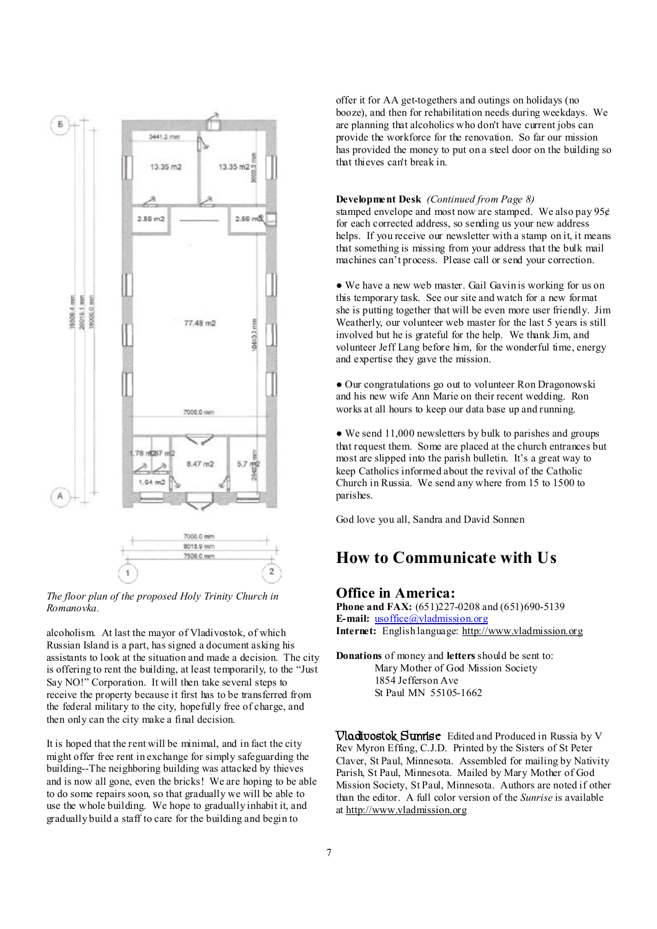

*The floor plan of the proposed Holy Trinity Church in Romanovka.*

alcoholism. At last the mayor of Vladivostok, of which Russian Island is a part, has signed a document asking his assistants to look at the situation and made a decision. The city is offering to rent the building, at least temporarily, to the "Just Say NO!" Corporation. It will then take several steps to receive the property because it first has to be transferred from the federal military to the city, hopefully free of charge, and then only can the city make a final decision.

It is hoped that the rent will be minimal, and in fact the city might offer free rent in exchange for simply safeguarding the building--The neighboring building was attacked by thieves and is now all gone, even the bricks! We are hoping to be able to do some repairs soon, so that gradually we will be able to use the whole building. We hope to gradually inhabit it, and gradually build a staff to care for the building and begin to

offer it for AA get-togethers and outings on holidays (no booze), and then for rehabilitation needs during weekdays. We are planning that alcoholics who don't have current jobs can provide the workforce for the renovation. So far our mission has provided the money to put on a steel door on the building so that thieves can't break in.

#### **Development Desk** *(Continued from Page 8)*

stamped envelope and most now are stamped. We also pay 95¢ for each corrected address, so sending us your new address helps. If you receive our newsletter with a stamp on it, it means that something is missing from your address that the bulk mail machines can't process. Please call or send your correction.

• We have a new web master. Gail Gavin is working for us on this temporary task. See our site and watch for a new format she is putting together that will be even more user friendly. Jim Weatherly, our volunteer web master for the last 5 years is still involved but he is grateful for the help. We thank Jim, and volunteer Jeff Lang before him, for the wonderful time, energy and expertise they gave the mission.

● Our congratulations go out to volunteer Ron Dragonowski and his new wife Ann Marie on their recent wedding. Ron works at all hours to keep our data base up and running.

• We send 11,000 newsletters by bulk to parishes and groups that request them. Some are placed at the church entrances but most are slipped into the parish bulletin. It's a great way to keep Catholics informed about the revival of the Catholic Church in Russia. We send any where from 15 to 1500 to parishes.

God love you all, Sandra and David Sonnen

# **How to Communicate with Us**

#### **Office in America:**

**Phone and FAX:** (651)227-0208 and (651)690-5139 **E-mail:** <u>usoffice</u>@vladmission.org **Internet:** English language: <http://www.vladmission.org>

**Donations** of money and **letters** should be sent to: Mary Mother of God Mission Society 1854 Jefferson Ave St Paul MN 55105-1662

**Vladivostok Sunrise** Edited and Produced in Russia by V Rev Myron Effing, C.J.D. Printed by the Sisters of St Peter Claver, St Paul, Minnesota. Assembled for mailing by Nativity Parish, St Paul, Minnesota. Mailed by Mary Mother of God Mission Society, St Paul, Minnesota. Authors are noted if other than the editor. A full color version of the *Sunrise* is available at <http://www.vladmission.org>